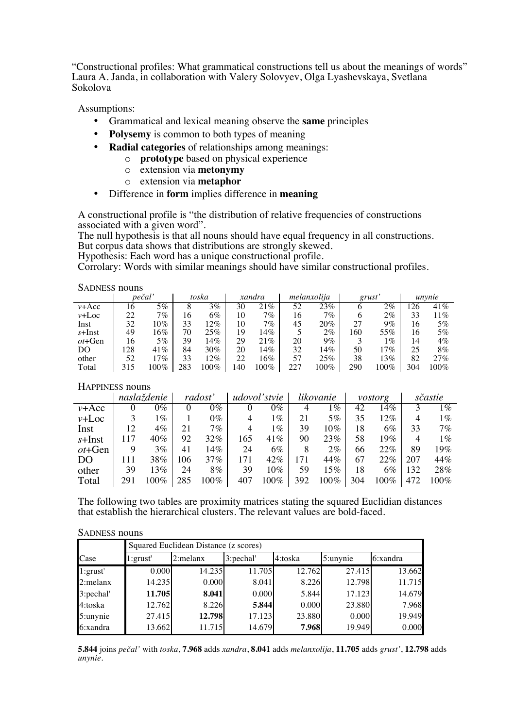"Constructional profiles: What grammatical constructions tell us about the meanings of words" Laura A. Janda, in collaboration with Valery Solovyev, Olga Lyashevskaya, Svetlana Sokolova

Assumptions:

- Grammatical and lexical meaning observe the same principles
- **Polysemy** is common to both types of meaning
- $\bullet$ **Radial categories** of relationships among meanings:
	- o **prototype** based on physical experience
	- $\circ$  extension via metonymy
	- $\circ$  extension via metaphor
- Difference in form implies difference in meaning  $\bullet$

A constructional profile is "the distribution of relative frequencies of constructions associated with a given word".

The null hypothesis is that all nouns should have equal frequency in all constructions. But corpus data shows that distributions are strongly skewed.

Hypothesis: Each word has a unique constructional profile.

Corrolary: Words with similar meanings should have similar constructional profiles.

**SADNESS nouns** 

|            | pečal' |         | toska<br>xandra |      | melanxolija |        | grust |        | unvnie |            |     |         |
|------------|--------|---------|-----------------|------|-------------|--------|-------|--------|--------|------------|-----|---------|
| $v + Acc$  | 16     | 5%      |                 | 3%   | 30          | $21\%$ | 52    | 23%    | O      | $2\%$      | 126 | 41%     |
| $v+Loc$    | 22     | 7 $\%$  | 16.             | 6%   | 10          | 7 $\%$ | 16    | 7 $\%$ | 6      | 2%         | 33  | 11%     |
| Inst       | 32     | 10%     | 33              | 12%  | 10          | 7 $\%$ | 45    | 20%    | 27     | $9\%$      | 16  | 5%      |
| s+Inst     | 49     | 6%      | 70              | 25%  | 19          | $14\%$ |       | $2\%$  | 160    | 55%        | 16  | 5%      |
| $ot + Gen$ | 16     | 5%      | 39              | 14%  | 29          | $21\%$ | 20    | $9\%$  |        | $\phi_{o}$ | 14  | 4%      |
| DO         | 28     | 41%     | 84              | 30%  | 20          | $14\%$ | 32    | $14\%$ | 50     | 17%        | 25  | 8%      |
| other      | 52     | 7%      | 33              | 12%  | 22          | 16%    | 57    | 25%    | 38     | 13%        | 82  | $27\%$  |
| Total      | 315    | $.00\%$ | 283             | 100% | .40         | 100%   |       | 100%   | 290    | 100%       | 304 | $100\%$ |

## HAPPINESS nouns

|            |     | naslaždenie |          | radost  |     | udovol'stvie               |     | likovanie     |     | vostorg |     | sčastie |
|------------|-----|-------------|----------|---------|-----|----------------------------|-----|---------------|-----|---------|-----|---------|
| $v + Acc$  |     | 0%          | $\theta$ | 0%      | O   | 0%                         |     | $\frac{1}{2}$ | 42  | 14%     |     | $1\%$   |
| $v + Loc$  |     | $\sqrt{6}$  |          | 0%      | 4   | 1%                         |     | 5%            | 35  | 12%     |     | 1%      |
| Inst       | 12  | $4\%$       | 21       | $7\%$   | 4   | $\overline{\mathcal{C}}_0$ | 39  | 10%           | 18  | $6\%$   | 33  | $7\%$   |
| s+Inst     | 117 | 40%         | 92       | 32%     | 165 | 41%                        | 90  | 23%           | 58  | 19%     | 4   | $1\%$   |
| $ot + Gen$ |     | 3%          | 41       | 14%     | 24  | 6%                         |     | $2\%$         | 66  | 22%     | 89  | 19%     |
| DO         | 111 | 38%         | 106      | 37%     | 171 | 42%                        |     | 44%           | 67  | 22%     | 207 | 44%     |
| other      | 39  | 13%         | 24       | 8%      | 39  | 10%                        | 59  | 15%           | 18  | $6\%$   | 132 | 28%     |
| Total      | 291 | 100%        |          | $100\%$ | 407 | 100%                       | 392 | 100%          | 304 | $100\%$ | 472 | 100%    |

The following two tables are proximity matrices stating the squared Euclidian distances that establish the hierarchical clusters. The relevant values are bold-faced.

## **SADNESS nouns**

|             | Squared Euclidean Distance (z scores) |          |           |         |          |          |  |  |  |
|-------------|---------------------------------------|----------|-----------|---------|----------|----------|--|--|--|
| Case        | l:grust'                              | 2:melanx | 3:pechal' | 4:toska | 5:unynie | 6:xandra |  |  |  |
| 1:grust'    | 0.000                                 | 14.235   | 11.705    | 12.762  | 27.415   | 13.662   |  |  |  |
| $2$ :melanx | 14.235                                | 0.000    | 8.041     | 8.226   | 12.798   | 11.715   |  |  |  |
| 3:pechal'   | 11.705                                | 8.041    | 0.000     | 5.844   | 17.123   | 14.679   |  |  |  |
| 4:toska     | 12.762                                | 8.226    | 5.844     | 0.000   | 23.880   | 7.968    |  |  |  |
| 5:unynie    | 27.415                                | 12.798   | 17.123    | 23.880  | 0.000    | 19.949   |  |  |  |
| 6:xandra    | 13.662                                | 11.715   | 14.679    | 7.968   | 19.949   | 0.000    |  |  |  |

5.844 joins pečal' with toska, 7.968 adds xandra, 8.041 adds melanxolija, 11.705 adds grust', 12.798 adds unynie.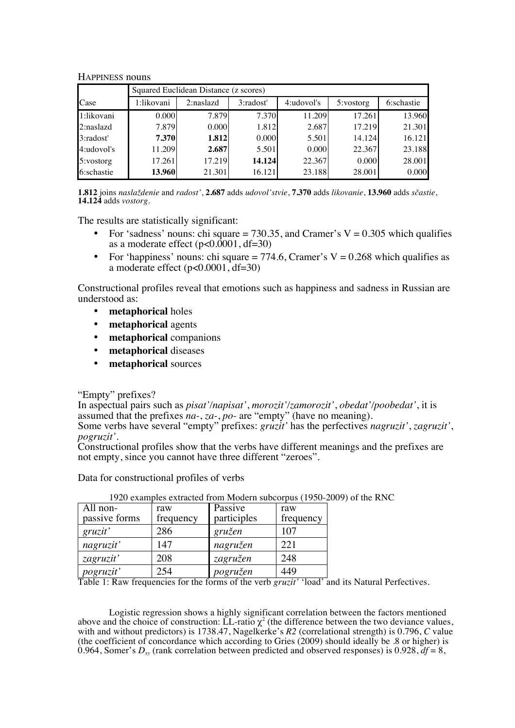## HAPPINESS nouns

|            | Squared Euclidean Distance (z scores) |           |           |            |           |            |  |  |  |
|------------|---------------------------------------|-----------|-----------|------------|-----------|------------|--|--|--|
| Case       | l:likovani                            | 2:naslazd | 3:radost' | 4:udovol's | 5:vostorg | 6:schastie |  |  |  |
| 1:likovani | 0.000                                 | 7.879     | 7.370     | 11.209     | 17.261    | 13.960     |  |  |  |
| 2:naslazd  | 7.879                                 | 0.000     | 1.812     | 2.687      | 17.219    | 21.301     |  |  |  |
| 3:radost'  | 7.370                                 | 1.812     | 0.000     | 5.501      | 14.124    | 16.121     |  |  |  |
| 4:udovol's | 11.209                                | 2.687     | 5.501     | 0.000      | 22.367    | 23.188     |  |  |  |
| 5:vostorg  | 17.261                                | 17.219    | 14.124    | 22.367     | 0.000     | 28.001     |  |  |  |
| 6:schastie | 13.960                                | 21.301    | 16.121    | 23.188     | 28.001    | 0.000      |  |  |  |

**1.812** joins *naslaždenie* and *radost'*, **2.687** adds *udovol'stvie*, **7.370** adds *likovanie*, **13.960** adds *sčastie*, **14.124** adds *vostorg*.

The results are statistically significant:

- For 'sadness' nouns: chi square = 730.35, and Cramer's  $V = 0.305$  which qualifies as a moderate effect  $(p<0.0001, df=30)$
- For 'happiness' nouns: chi square  $= 774.6$ . Cramer's V = 0.268 which qualifies as a moderate effect (p<0.0001, df=30)

Constructional profiles reveal that emotions such as happiness and sadness in Russian are understood as:

- **metaphorical** holes
- **metaphorical** agents
- **metaphorical** companions
- **metaphorical** diseases
- **metaphorical** sources

"Empty" prefixes?

In aspectual pairs such as *pisat'/napisat'*, *morozit'/zamorozit'*, *obedat'/poobedat'*, it is assumed that the prefixes *na-*, *za-*, *po-* are "empty" (have no meaning).

Some verbs have several "empty" prefixes: *gruzit*' has the perfectives *nagruzit'*, *zagruzit'*, *pogruzit'*.<br>Constructional profiles show that the verbs have different meanings and the prefixes are not empty, since you cannot have three different "zeroes".

Data for constructional profiles of verbs

| $\overline{Al}$ l non- | raw       | Passive     | raw       |
|------------------------|-----------|-------------|-----------|
| passive forms          | frequency | participles | frequency |
| gruzit'                | 286       | gružen      | 107       |
| nagruzit'              | 147       | nagružen    | 221       |
| zagruzit'              | 208       | zagružen    | 248       |
| <i>pogruzit'</i>       | 254       | pogružen    | 449       |

1920 examples extracted from Modern subcorpus (1950-2009) of the RNC

Table 1: Raw frequencies for the forms of the verb *gruzit'* 'load' and its Natural Perfectives.

Logistic regression shows a highly significant correlation between the factors mentioned above and the choice of construction: LL-ratio  $\chi^2$  (the difference between the two deviance values, with and without predictors) is 1738.47, Nagelkerke's *R2* (correlational strength) is 0.796, *C* value (the coefficient of concordance which according to Gries (2009) should ideally be .8 or higher) is 0.964, Somer's  $D_{xy}$  (rank correlation between predicted and observed responses) is 0.928,  $df = 8$ ,